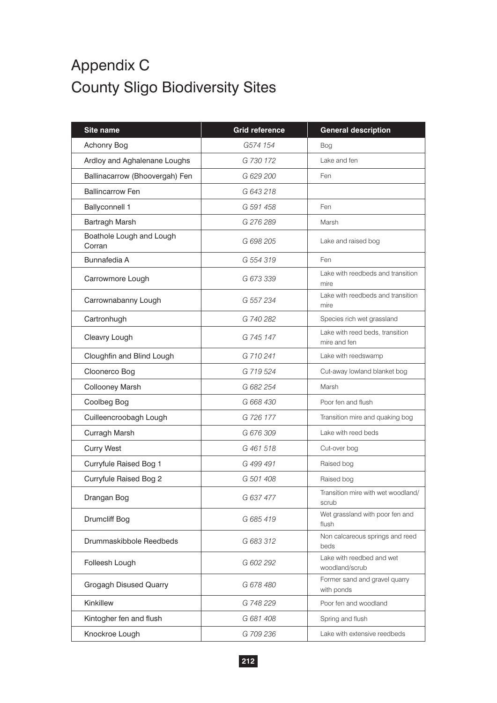## Appendix C County Sligo Biodiversity Sites

| Site name                          | <b>Grid reference</b> | <b>General description</b>                      |
|------------------------------------|-----------------------|-------------------------------------------------|
| Achonry Bog                        | G574 154              | <b>Bog</b>                                      |
| Ardloy and Aghalenane Loughs       | G 730 172             | Lake and fen                                    |
| Ballinacarrow (Bhoovergah) Fen     | G 629 200             | Fen                                             |
| <b>Ballincarrow Fen</b>            | G 643 218             |                                                 |
| <b>Ballyconnell 1</b>              | G 591 458             | Fen                                             |
| Bartragh Marsh                     | G 276 289             | Marsh                                           |
| Boathole Lough and Lough<br>Corran | G 698 205             | Lake and raised bog                             |
| Bunnafedia A                       | G 554 319             | Fen                                             |
| Carrowmore Lough                   | G 673 339             | Lake with reedbeds and transition<br>mire       |
| Carrownabanny Lough                | G 557 234             | Lake with reedbeds and transition<br>mire       |
| Cartronhugh                        | G 740 282             | Species rich wet grassland                      |
| Cleavry Lough                      | G 745 147             | Lake with reed beds, transition<br>mire and fen |
| Cloughfin and Blind Lough          | G 710 241             | Lake with reedswamp                             |
| Cloonerco Bog                      | G 719 524             | Cut-away lowland blanket bog                    |
| <b>Collooney Marsh</b>             | G 682 254             | Marsh                                           |
| Coolbeg Bog                        | G 668 430             | Poor fen and flush                              |
| Cuilleencroobagh Lough             | G 726 177             | Transition mire and quaking bog                 |
| Curragh Marsh                      | G 676 309             | Lake with reed beds                             |
| <b>Curry West</b>                  | G 461 518             | Cut-over bog                                    |
| Curryfule Raised Bog 1             | G 499 491             | Raised bog                                      |
| Curryfule Raised Bog 2             | G 501 408             | Raised bog                                      |
| Drangan Bog                        | G 637 477             | Transition mire with wet woodland/<br>scrub     |
| Drumcliff Bog                      | G 685 419             | Wet grassland with poor fen and<br>flush        |
| Drummaskibbole Reedbeds            | G 683 312             | Non calcareous springs and reed<br>beds         |
| Folleesh Lough                     | G 602 292             | Lake with reedbed and wet<br>woodland/scrub     |
| Grogagh Disused Quarry             | G 678 480             | Former sand and gravel quarry<br>with ponds     |
| Kinkillew                          | G 748 229             | Poor fen and woodland                           |
| Kintogher fen and flush            | G 681 408             | Spring and flush                                |
| Knockroe Lough                     | G 709 236             | Lake with extensive reedbeds                    |